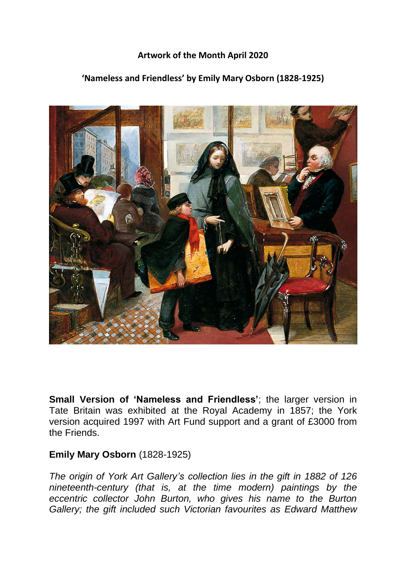## **Artwork of the Month April 2020**

## **'Nameless and Friendless' by Emily Mary Osborn (1828-1925)**



**Small Version of 'Nameless and Friendless'**; the larger version in Tate Britain was exhibited at the Royal Academy in 1857; the York version acquired 1997 with Art Fund support and a grant of £3000 from the Friends.

## **Emily Mary Osborn** (1828-1925)

*The origin of York Art Gallery's collection lies in the gift in 1882 of 126 nineteenth-century (that is, at the time modern) paintings by the eccentric collector John Burton, who gives his name to the Burton Gallery; the gift included such Victorian favourites as Edward Matthew*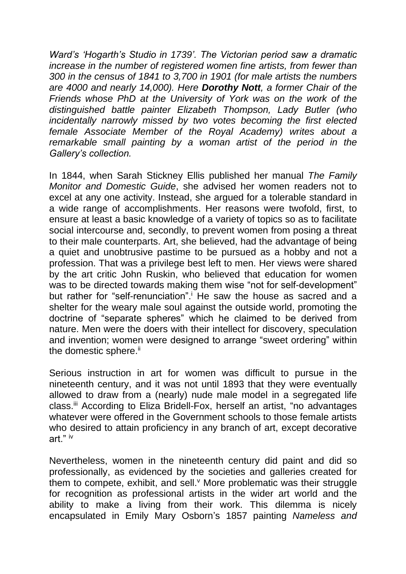*Ward's 'Hogarth's Studio in 1739'. The Victorian period saw a dramatic increase in the number of registered women fine artists, from fewer than 300 in the census of 1841 to 3,700 in 1901 (for male artists the numbers are 4000 and nearly 14,000). Here Dorothy Nott, a former Chair of the Friends whose PhD at the University of York was on the work of the distinguished battle painter Elizabeth Thompson, Lady Butler (who incidentally narrowly missed by two votes becoming the first elected female Associate Member of the Royal Academy) writes about a remarkable small painting by a woman artist of the period in the Gallery's collection.*

In 1844, when Sarah Stickney Ellis published her manual *The Family Monitor and Domestic Guide*, she advised her women readers not to excel at any one activity. Instead, she argued for a tolerable standard in a wide range of accomplishments. Her reasons were twofold, first, to ensure at least a basic knowledge of a variety of topics so as to facilitate social intercourse and, secondly, to prevent women from posing a threat to their male counterparts. Art, she believed, had the advantage of being a quiet and unobtrusive pastime to be pursued as a hobby and not a profession. That was a privilege best left to men. Her views were shared by the art critic John Ruskin, who believed that education for women was to be directed towards making them wise "not for self-development" but rather for "self-renunciation". He saw the house as sacred and a shelter for the weary male soul against the outside world, promoting the doctrine of "separate spheres" which he claimed to be derived from nature. Men were the doers with their intellect for discovery, speculation and invention; women were designed to arrange "sweet ordering" within the domestic sphere.<sup>ii</sup>

Serious instruction in art for women was difficult to pursue in the nineteenth century, and it was not until 1893 that they were eventually allowed to draw from a (nearly) nude male model in a segregated life class.<sup>iii</sup> According to Eliza Bridell-Fox, herself an artist, "no advantages whatever were offered in the Government schools to those female artists who desired to attain proficiency in any branch of art, except decorative art<sup>"</sup> iv

Nevertheless, women in the nineteenth century did paint and did so professionally, as evidenced by the societies and galleries created for them to compete, exhibit, and sell. $<sup>v</sup>$  More problematic was their struggle</sup> for recognition as professional artists in the wider art world and the ability to make a living from their work. This dilemma is nicely encapsulated in Emily Mary Osborn's 1857 painting *Nameless and*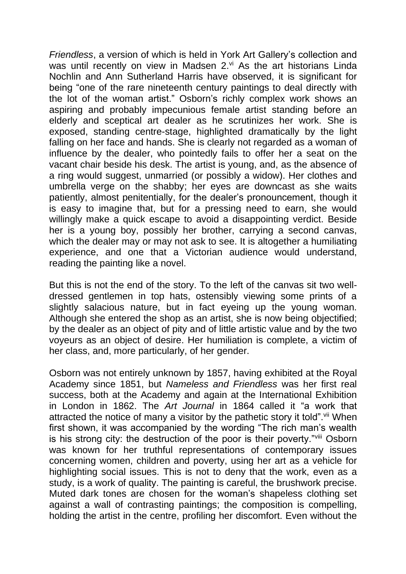*Friendless*, a version of which is held in York Art Gallery's collection and was until recently on view in Madsen 2.vi As the art historians Linda Nochlin and Ann Sutherland Harris have observed, it is significant for being "one of the rare nineteenth century paintings to deal directly with the lot of the woman artist." Osborn's richly complex work shows an aspiring and probably impecunious female artist standing before an elderly and sceptical art dealer as he scrutinizes her work. She is exposed, standing centre-stage, highlighted dramatically by the light falling on her face and hands. She is clearly not regarded as a woman of influence by the dealer, who pointedly fails to offer her a seat on the vacant chair beside his desk. The artist is young, and, as the absence of a ring would suggest, unmarried (or possibly a widow). Her clothes and umbrella verge on the shabby; her eyes are downcast as she waits patiently, almost penitentially, for the dealer's pronouncement, though it is easy to imagine that, but for a pressing need to earn, she would willingly make a quick escape to avoid a disappointing verdict. Beside her is a young boy, possibly her brother, carrying a second canvas, which the dealer may or may not ask to see. It is altogether a humiliating experience, and one that a Victorian audience would understand, reading the painting like a novel.

But this is not the end of the story. To the left of the canvas sit two welldressed gentlemen in top hats, ostensibly viewing some prints of a slightly salacious nature, but in fact eyeing up the young woman. Although she entered the shop as an artist, she is now being objectified; by the dealer as an object of pity and of little artistic value and by the two voyeurs as an object of desire. Her humiliation is complete, a victim of her class, and, more particularly, of her gender.

Osborn was not entirely unknown by 1857, having exhibited at the Royal Academy since 1851, but *Nameless and Friendless* was her first real success, both at the Academy and again at the International Exhibition in London in 1862. The *Art Journal* in 1864 called it "a work that attracted the notice of many a visitor by the pathetic story it told". Vii When first shown, it was accompanied by the wording "The rich man's wealth is his strong city: the destruction of the poor is their poverty."Vill Osborn was known for her truthful representations of contemporary issues concerning women, children and poverty, using her art as a vehicle for highlighting social issues. This is not to deny that the work, even as a study, is a work of quality. The painting is careful, the brushwork precise. Muted dark tones are chosen for the woman's shapeless clothing set against a wall of contrasting paintings; the composition is compelling, holding the artist in the centre, profiling her discomfort. Even without the